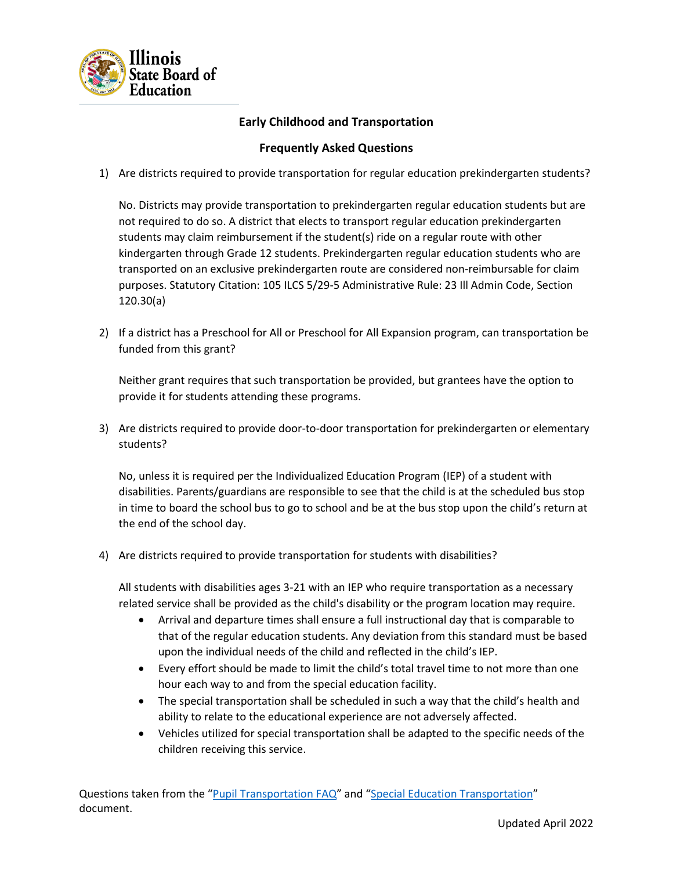

## **Early Childhood and Transportation**

## **Frequently Asked Questions**

1) Are districts required to provide transportation for regular education prekindergarten students?

No. Districts may provide transportation to prekindergarten regular education students but are not required to do so. A district that elects to transport regular education prekindergarten students may claim reimbursement if the student(s) ride on a regular route with other kindergarten through Grade 12 students. Prekindergarten regular education students who are transported on an exclusive prekindergarten route are considered non-reimbursable for claim purposes. Statutory Citation: 105 ILCS 5/29-5 Administrative Rule: 23 Ill Admin Code, Section 120.30(a)

2) If a district has a Preschool for All or Preschool for All Expansion program, can transportation be funded from this grant?

Neither grant requires that such transportation be provided, but grantees have the option to provide it for students attending these programs.

3) Are districts required to provide door-to-door transportation for prekindergarten or elementary students?

No, unless it is required per the Individualized Education Program (IEP) of a student with disabilities. Parents/guardians are responsible to see that the child is at the scheduled bus stop in time to board the school bus to go to school and be at the bus stop upon the child's return at the end of the school day.

4) Are districts required to provide transportation for students with disabilities?

All students with disabilities ages 3-21 with an IEP who require transportation as a necessary related service shall be provided as the child's disability or the program location may require.

- Arrival and departure times shall ensure a full instructional day that is comparable to that of the regular education students. Any deviation from this standard must be based upon the individual needs of the child and reflected in the child's IEP.
- Every effort should be made to limit the child's total travel time to not more than one hour each way to and from the special education facility.
- The special transportation shall be scheduled in such a way that the child's health and ability to relate to the educational experience are not adversely affected.
- Vehicles utilized for special transportation shall be adapted to the specific needs of the children receiving this service.

Questions taken from the "[Pupil Transportation FAQ](https://www.isbe.net/Documents/pupil-transp-faq.pdf)" and "[Special Education Transportation](https://www.isbe.net/Documents/special_needs_transport.pdf)" document.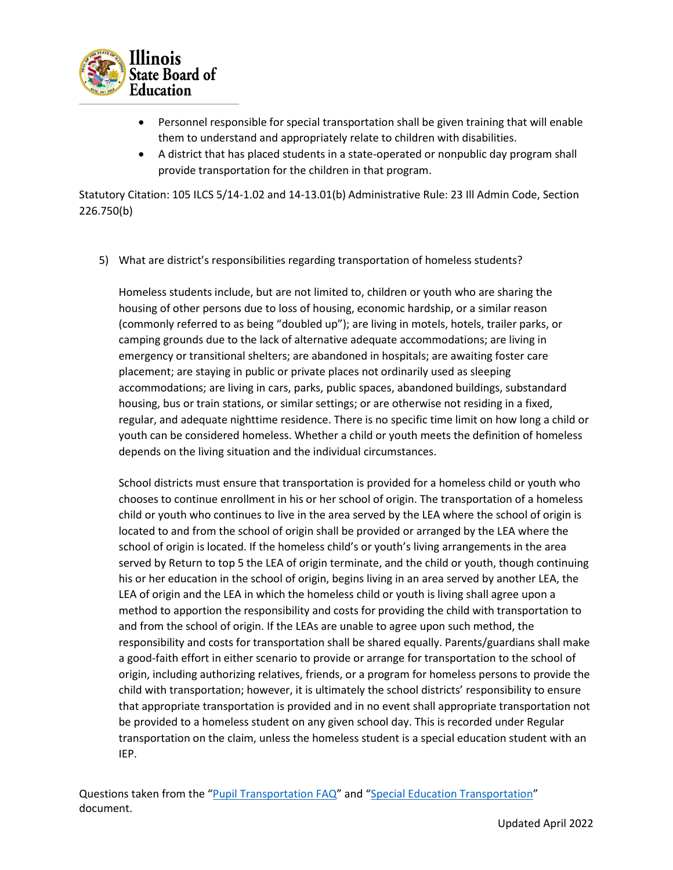

- Personnel responsible for special transportation shall be given training that will enable them to understand and appropriately relate to children with disabilities.
- A district that has placed students in a state-operated or nonpublic day program shall provide transportation for the children in that program.

Statutory Citation: 105 ILCS 5/14-1.02 and 14-13.01(b) Administrative Rule: 23 Ill Admin Code, Section 226.750(b)

5) What are district's responsibilities regarding transportation of homeless students?

Homeless students include, but are not limited to, children or youth who are sharing the housing of other persons due to loss of housing, economic hardship, or a similar reason (commonly referred to as being "doubled up"); are living in motels, hotels, trailer parks, or camping grounds due to the lack of alternative adequate accommodations; are living in emergency or transitional shelters; are abandoned in hospitals; are awaiting foster care placement; are staying in public or private places not ordinarily used as sleeping accommodations; are living in cars, parks, public spaces, abandoned buildings, substandard housing, bus or train stations, or similar settings; or are otherwise not residing in a fixed, regular, and adequate nighttime residence. There is no specific time limit on how long a child or youth can be considered homeless. Whether a child or youth meets the definition of homeless depends on the living situation and the individual circumstances.

School districts must ensure that transportation is provided for a homeless child or youth who chooses to continue enrollment in his or her school of origin. The transportation of a homeless child or youth who continues to live in the area served by the LEA where the school of origin is located to and from the school of origin shall be provided or arranged by the LEA where the school of origin is located. If the homeless child's or youth's living arrangements in the area served by Return to top 5 the LEA of origin terminate, and the child or youth, though continuing his or her education in the school of origin, begins living in an area served by another LEA, the LEA of origin and the LEA in which the homeless child or youth is living shall agree upon a method to apportion the responsibility and costs for providing the child with transportation to and from the school of origin. If the LEAs are unable to agree upon such method, the responsibility and costs for transportation shall be shared equally. Parents/guardians shall make a good-faith effort in either scenario to provide or arrange for transportation to the school of origin, including authorizing relatives, friends, or a program for homeless persons to provide the child with transportation; however, it is ultimately the school districts' responsibility to ensure that appropriate transportation is provided and in no event shall appropriate transportation not be provided to a homeless student on any given school day. This is recorded under Regular transportation on the claim, unless the homeless student is a special education student with an IEP.

Questions taken from the "[Pupil Transportation FAQ](https://www.isbe.net/Documents/pupil-transp-faq.pdf)" and "[Special Education Transportation](https://www.isbe.net/Documents/special_needs_transport.pdf)" document.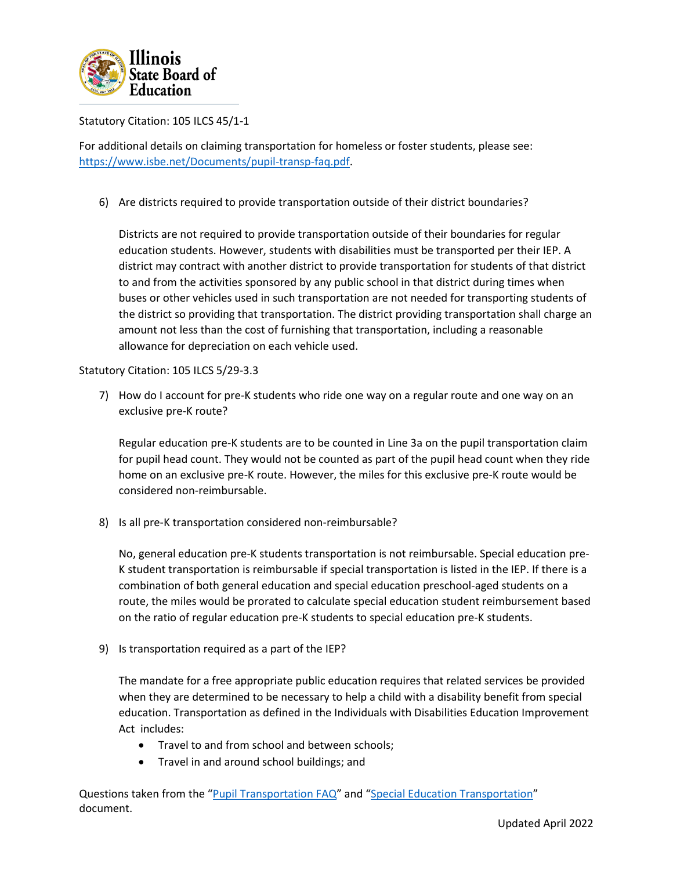

Statutory Citation: 105 ILCS 45/1-1

For additional details on claiming transportation for homeless or foster students, please see: [https://www.isbe.net/Documents/pupil-transp-faq.pdf.](https://nam10.safelinks.protection.outlook.com/?url=https%3A%2F%2Fwww.isbe.net%2FDocuments%2Fpupil-transp-faq.pdf&data=05%7C01%7Ckdoan%40isbe.net%7Ceb68f5ea0eb6463efa7208da24762fc5%7C0364fe8649c64af4b52c335a99e577d1%7C0%7C0%7C637862387271159446%7CUnknown%7CTWFpbGZsb3d8eyJWIjoiMC4wLjAwMDAiLCJQIjoiV2luMzIiLCJBTiI6Ik1haWwiLCJXVCI6Mn0%3D%7C3000%7C%7C%7C&sdata=Wk%2Fe8g5hi1sbQMBKiY2sRg6wbVEcEkMeV%2BQgw6L1nPM%3D&reserved=0)

6) Are districts required to provide transportation outside of their district boundaries?

Districts are not required to provide transportation outside of their boundaries for regular education students. However, students with disabilities must be transported per their IEP. A district may contract with another district to provide transportation for students of that district to and from the activities sponsored by any public school in that district during times when buses or other vehicles used in such transportation are not needed for transporting students of the district so providing that transportation. The district providing transportation shall charge an amount not less than the cost of furnishing that transportation, including a reasonable allowance for depreciation on each vehicle used.

Statutory Citation: 105 ILCS 5/29-3.3

7) How do I account for pre-K students who ride one way on a regular route and one way on an exclusive pre-K route?

Regular education pre-K students are to be counted in Line 3a on the pupil transportation claim for pupil head count. They would not be counted as part of the pupil head count when they ride home on an exclusive pre-K route. However, the miles for this exclusive pre-K route would be considered non-reimbursable.

8) Is all pre-K transportation considered non-reimbursable?

No, general education pre-K students transportation is not reimbursable. Special education pre-K student transportation is reimbursable if special transportation is listed in the IEP. If there is a combination of both general education and special education preschool-aged students on a route, the miles would be prorated to calculate special education student reimbursement based on the ratio of regular education pre-K students to special education pre-K students.

9) Is transportation required as a part of the IEP?

The mandate for a free appropriate public education requires that related services be provided when they are determined to be necessary to help a child with a disability benefit from special education. Transportation as defined in the Individuals with Disabilities Education Improvement Act includes:

- Travel to and from school and between schools;
- Travel in and around school buildings; and

Questions taken from the "[Pupil Transportation FAQ](https://www.isbe.net/Documents/pupil-transp-faq.pdf)" and "[Special Education Transportation](https://www.isbe.net/Documents/special_needs_transport.pdf)" document.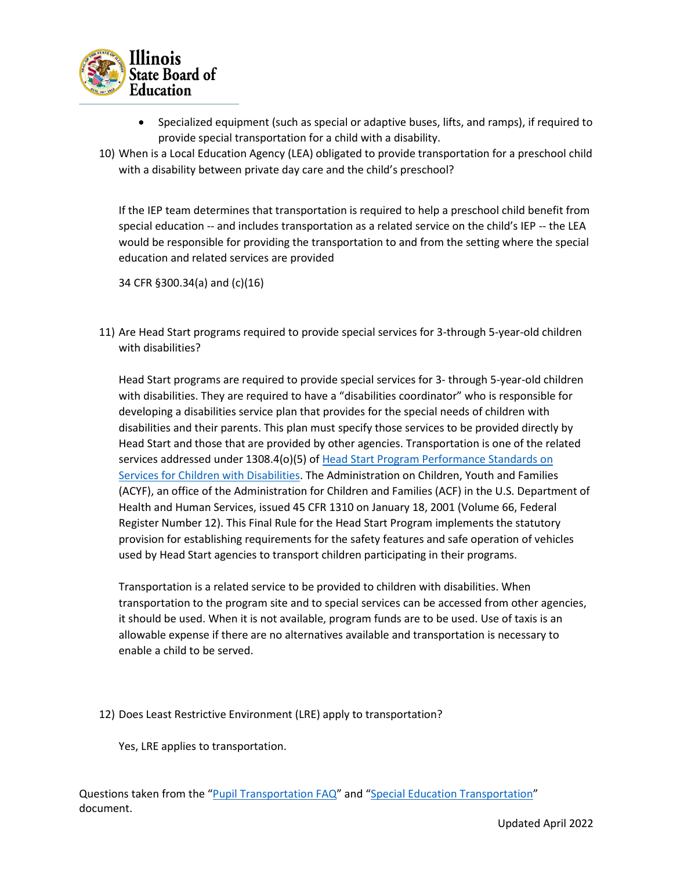

- Specialized equipment (such as special or adaptive buses, lifts, and ramps), if required to provide special transportation for a child with a disability.
- 10) When is a Local Education Agency (LEA) obligated to provide transportation for a preschool child with a disability between private day care and the child's preschool?

If the IEP team determines that transportation is required to help a preschool child benefit from special education -- and includes transportation as a related service on the child's IEP -- the LEA would be responsible for providing the transportation to and from the setting where the special education and related services are provided

34 CFR §300.34(a) and (c)(16)

11) Are Head Start programs required to provide special services for 3-through 5-year-old children with disabilities?

Head Start programs are required to provide special services for 3- through 5-year-old children with disabilities. They are required to have a "disabilities coordinator" who is responsible for developing a disabilities service plan that provides for the special needs of children with disabilities and their parents. This plan must specify those services to be provided directly by Head Start and those that are provided by other agencies. Transportation is one of the related services addressed under 1308.4(o)(5) of [Head Start Program Performance Standards on](https://www.govinfo.gov/app/details/CFR-2010-title45-vol4/CFR-2010-title45-vol4-sec1308-4)  [Services for Children with Disabilities.](https://www.govinfo.gov/app/details/CFR-2010-title45-vol4/CFR-2010-title45-vol4-sec1308-4) The Administration on Children, Youth and Families (ACYF), an office of the Administration for Children and Families (ACF) in the U.S. Department of Health and Human Services, issued 45 CFR 1310 on January 18, 2001 (Volume 66, Federal Register Number 12). This Final Rule for the Head Start Program implements the statutory provision for establishing requirements for the safety features and safe operation of vehicles used by Head Start agencies to transport children participating in their programs.

Transportation is a related service to be provided to children with disabilities. When transportation to the program site and to special services can be accessed from other agencies, it should be used. When it is not available, program funds are to be used. Use of taxis is an allowable expense if there are no alternatives available and transportation is necessary to enable a child to be served.

12) Does Least Restrictive Environment (LRE) apply to transportation?

Yes, LRE applies to transportation.